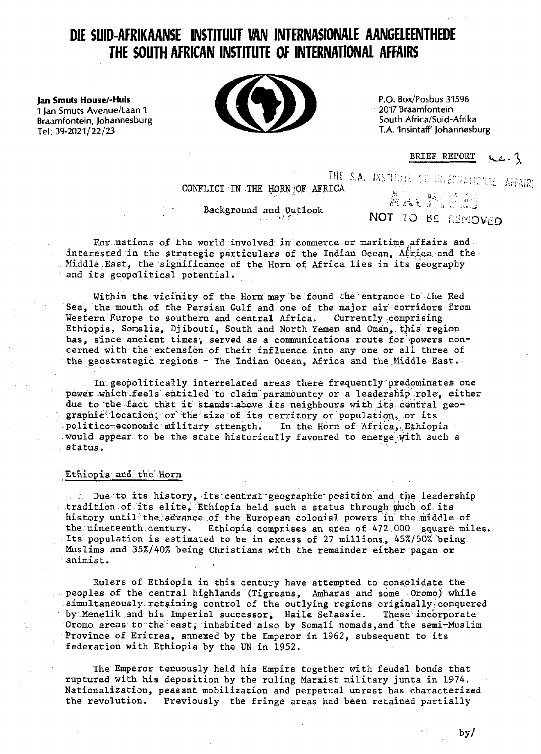# **DIE SUID-AFRIKAANSE INSTITUUT VAN INTERNASIONALE AANGELEENTHEDE THE SOUTH AFRICAN INSTITUTE OF INTERNATIONAL AFFAIRS**

1 Jan Smuts Avenue/Laan 1 **Books Avenue/Laan 1 and 1 Jan Smuts Avenue/Laan 1 and 1 and 1 and 1 and 1 and 1 and 1 and 1 and 1 and 1 and 1 and 1 and 1 and 1 and 1 and 1 and 1 and 1 and 1 and 1 and 1 and 1 and 1 and 1 and 1 a** Braamfontein, Johannesburg Tel:  $39-2021/22/23$  T.A. 'Insintaff' Johannesburg



2017 Braamfontein

BRIEF REPORT <u>pcs - Z</u>

THE S.A. INSTITUTE OF GRIGINATIONAL AFFAIR:<br>ICA CONFLICT IN THE HORN OF AFRICA

Background and Outlook \_ \_ "" •\*

 $\overline{\mathbf{v}}$  of  $\overline{\mathbf{v}}$  is  $\overline{\mathbf{v}}$ 

**\*•.-:. t'^<. . is •;. . '-.• ."! j ;**

For nations of the world involved in commerce or maritime affairs and interested in the strategic particulars of the Indian Ocean, Africa and the Middle.. East, the significance of the Horn of Africa lies in its geography and its geopolitical potential.

Within the vicinity of the Horn may be found the'entrance to the Red Sea, the mouth of the Persian Gulf and one of the major air corridors from Western Europe to southern and central Africa. Currently comprising Ethiopia, Somalia, Djibouti, South and North Yemen and Oman, this region has, since ancient times, served as a communications route for powers concerned with the-extension of their influence into any one or all three of the geostrategic regions - The Indian Ocean, Africa and the Middle East.

In.geopolitically interrelated areas there frequently"predominates one power which feels entitled to claim paramountcy or a leadership role, either due to the fact that it stands above its neighbours with its central geographic location, or the size of its territory or population, or its politico-economic military strength. In the Horn of Africa, Ethiopia would appear to be the state historically favoured to emerge with such a status.

# Ethiopia' and ' the Horn

 $\ldots$  Due to its history, its central geographic position and the leadership tradition of its elite, Ethiopia held such a status through much of its history until the advance of the European colonial powers in the middle of the nineteenth century. . Ethiopia comprises an area of 472 000 square miles. Its population is estimated to be in excess of 27 millions, 45%/50% being Muslims and 35%/40% being Christians with the remainder either pagan or " animist.

Rulers of Ethiopia in this century have attempted to consolidate the peoples of the central highlands (Tigreans, Amharas and some Oromo) while simultaneously retaining control of the outlying regions originally conquered<br>by Menelik and his Imperial successor, Haile Selassie. These incorporate by Menelik and his Imperial successor, Haile Selassie. Oromo areas to the east, inhabited also by Somali nomads, and the semi-Muslim Province of Eritrea, annexed by the Emperor in 1962, subsequent to its federation with Ethiopia by the UN in 1952.

The Emperor tenuously held his Empire together with feudal bonds that ruptured with his deposition by the ruling Marxist military junta in 1974. Nationalization, peasant mobilization and perpetual unrest has characterized the revolution. Previously the fringe areas had been retained partially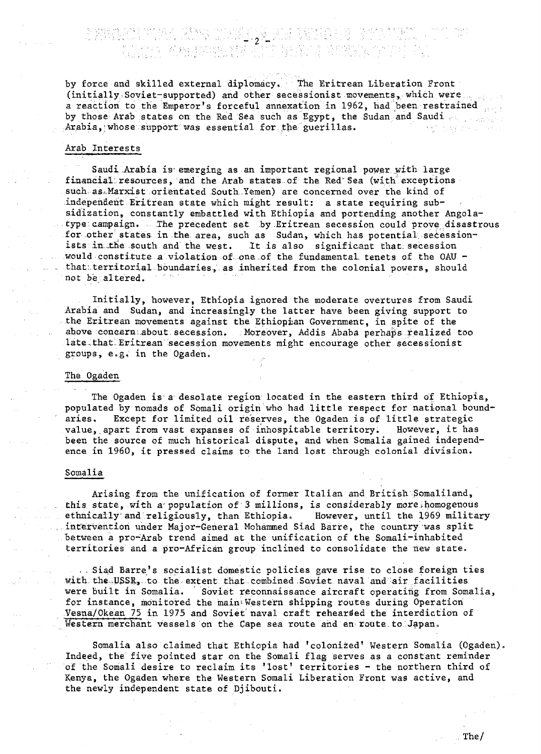by force and skilled external diplomacy. The Eritrean Liberation Front (initially:Soviet-supported) and other secessionist movements, which were a reaction to the Emperor's forceful annexation in 1962, had been restrained by those Arab states on the Red Sea such as Egypt, the Sudan and Saudi consequents. Arabia, whose support was essential for the guerillas.

### Arab Interests

Saudi Arabia is emerging as an important regional power with large financial: resources, and the Arab states.of the Red" Sea (with exceptions such as.Marxist orientated South.Yemen) are concerned over the kind of independent Eritrean state which might result: a state requiring subsidization, constantly embattled with Ethiopia and portending another Angolatype: campaign. The precedent set by Eritrean secession could prove disastrous for other states in.the. area, such as Sudan, which has potential, secessionists in the south and the west. It is also significant that secession would constitute a violation of- one of the fundamental tenets of the OAU that:.territorial boundaries,. as inherited from the colonial powers, should not be altered.

Initially, however, Ethiopia ignored the moderate overtures from Saudi Arabia and Sudan, and increasingly the latter have been giving support to the Eritrean movements against the Ethiopian Government, in spite of the above concern..about.secession. Moreover, Addis Ababa perhaps realized too late.that Eritrean secession movements might encourage other secessionist groups, e.g. in the Ogaden.

# The Ogaden

The Ogaden is a desolate region located in the eastern third of Ethiopia, populated by nomads of Somali origin who had little respect for national boundaries. Except for limited oil reserves, the Ogaden is of little strategic value, apart from vast expanses of inhospitable territory. However, it has been the source of much historical dispute, and when Somalia gained independence in 1960, it pressed claims to the land lost through colonial division,

#### Somalia

Arising from the unification of former Italian and British Somaliland, this state, with a population of 3 millions, is considerably more homogenous ethnically and religiously, than Ethiopia. However, until the 1969 military intervention under Major-General Mohammed Siad Barre, the country was split between a pro-Arab trend aimed at the unification of the Somali-inhabited territories and a pro-African group inclined to consolidate the new state.

. Siad Barre's socialist domestic policies gave rise to close foreign ties with the  $USSR$ , to the extent that combined Soviet naval and air facilities were built in Somalia. Soviet reconnaissance aircraft operating from Somalia, for instance, monitored the main Western shipping routes during Operation Vesna/Okean 75 in 1975 and Soviet naval craft rehearsed the interdiction of Western merchant vessels on the Cape sea route and en route to Japan.

Somalia also claimed that Ethiopia had 'colonized' Western Somalia (Ogaden) Indeed, the five pointed star on the Somali flag serves as a constant reminder of the Somali desire to reclaim its 'lost' territories - the northern third of Kenya, the Ogaden where the Western Somali Liberation Front was active, and the newly independent state of Djibouti.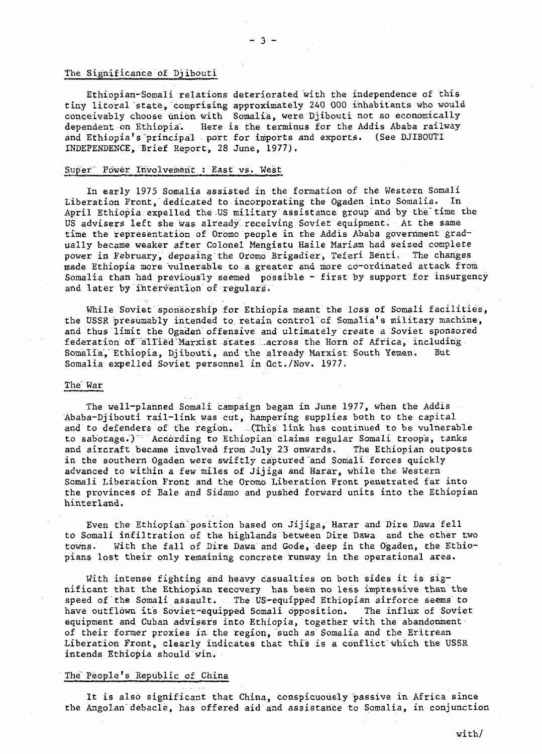# The Significance of Djibouti

Ethiopian-Somali relations deteriorated with the independence of this tiny litoral state, comprising approximately 240 000 inhabitants who would conceivably choose union with Somalia, were Djibouti not so economically dependent on Ethiopia. Here is the terminus for the Addis Ababa railway and Ethiopia's principal port for imports and exports. (See DJIBOUTI INDEPENDENCE, Brief Report, 28 June, 1977).

# Super Power Involvement : East vs. West

In early 1975 Somalia assisted in the formation of the Western Somali Liberation Front, dedicated to incorporating the Ogaden into Somalia. In April Ethiopia expelled the US military assistance group and by the" time the US advisers left she was already receiving Soviet equipment. At the same time the representation of Oromo people in the Addis Ababa government gradually became weaker after Colonel Mengistu Haile Mariam had seized complete power in February, deposing the Oromo Brigadier, Teferi Benti. The changes made Ethiopia more "vulnerable to a greater and more co-ordinated attack from Somalia than had previously seemed possible - first by support for insurgency and later by intervention of regulars.

While Soviet sponsorship for Ethiopia meant the loss of Somali facilities, the USSR presumably intended to retain control of Somalia's military machine, and thus limit the Ogaden offensive and ultimately create a Soviet sponsored federation of allied Marxist states Lacross the Horn of Africa, including Somalia, Ethiopia, Djibouti, and the already Marxist South Yemen. Somalia expelled Soviet personnel in Oct./Nov. 1977.

# The War

The well-planned Somali campaign began in June 1977, when the Addis Ababa-Djibouti rail-link was cut, hampering supplies both to the capital and to defenders of the region. ..(This link has continued to be vulnerable to sabotage.) According to Ethiopian claims regular Somali troops, tanks and aircraft became involved from July 23 onwards. The Ethiopian outposts in the southern Ogaden were swiftly captured and Somali forces quickly advanced to within a few miles of Jijiga and Harar, while the Western Somali Liberation Front and the Oromo Liberation Front penetrated far into the provinces of Bale and Sidamo and pushed forward units into the Ethiopian hinterland.

Even the Ethiopian position based on Jijiga, Harar and Dire Dawa fell to Somali infiltration of the highlands between Dire Dawa and the other two towns. With the fall of Dire Dawa and Gode, deep in the Ogaden, the Ethiopians lost their only remaining concrete runway in the operational area.

With intense fighting and heavy casualties on both sides it is significant that the Ethiopian recovery has been no less impressive than the speed of the Somali assault. The US-equipped Ethiopian airforce seems to have outflown its Soviet-equipped Somali opposition. The influx of Soviet equipment and Cuban advisers into Ethiopia, together with the abandonment of their former proxies in the region, such as Somalia and the Eritrean Liberation Front, clearly indicates that this is a conflict'which the USSR intends Ethiopia should win.

# The People's Republic of China

It is also significant that China, conspicuously passive in Africa since the Angolan debacle, has offered aid and assistance to Somalia, in conjunction